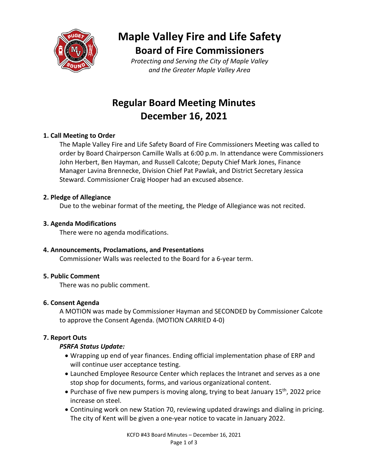

# **Maple Valley Fire and Life Safety Board of Fire Commissioners**

*Protecting and Serving the City of Maple Valley and the Greater Maple Valley Area*

## **Regular Board Meeting Minutes December 16, 2021**

## **1. Call Meeting to Order**

The Maple Valley Fire and Life Safety Board of Fire Commissioners Meeting was called to order by Board Chairperson Camille Walls at 6:00 p.m. In attendance were Commissioners John Herbert, Ben Hayman, and Russell Calcote; Deputy Chief Mark Jones, Finance Manager Lavina Brennecke, Division Chief Pat Pawlak, and District Secretary Jessica Steward. Commissioner Craig Hooper had an excused absence.

#### **2. Pledge of Allegiance**

Due to the webinar format of the meeting, the Pledge of Allegiance was not recited.

## **3. Agenda Modifications**

There were no agenda modifications.

## **4. Announcements, Proclamations, and Presentations**

Commissioner Walls was reelected to the Board for a 6-year term.

## **5. Public Comment**

There was no public comment.

## **6. Consent Agenda**

A MOTION was made by Commissioner Hayman and SECONDED by Commissioner Calcote to approve the Consent Agenda. (MOTION CARRIED 4-0)

## **7. Report Outs**

## *PSRFA Status Update:*

- Wrapping up end of year finances. Ending official implementation phase of ERP and will continue user acceptance testing.
- Launched Employee Resource Center which replaces the Intranet and serves as a one stop shop for documents, forms, and various organizational content.
- Purchase of five new pumpers is moving along, trying to beat January 15<sup>th</sup>, 2022 price increase on steel.
- Continuing work on new Station 70, reviewing updated drawings and dialing in pricing. The city of Kent will be given a one-year notice to vacate in January 2022.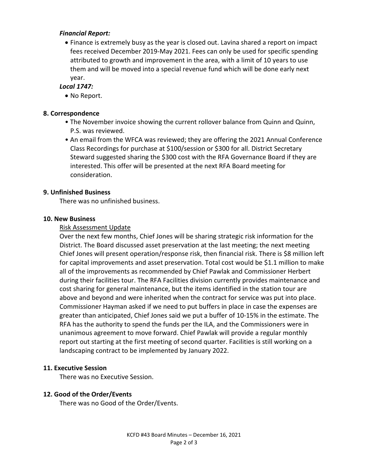#### *Financial Report:*

• Finance is extremely busy as the year is closed out. Lavina shared a report on impact fees received December 2019-May 2021. Fees can only be used for specific spending attributed to growth and improvement in the area, with a limit of 10 years to use them and will be moved into a special revenue fund which will be done early next year.

## *Local 1747:*

• No Report.

## **8. Correspondence**

- The November invoice showing the current rollover balance from Quinn and Quinn, P.S. was reviewed.
- An email from the WFCA was reviewed; they are offering the 2021 Annual Conference Class Recordings for purchase at \$100/session or \$300 for all. District Secretary Steward suggested sharing the \$300 cost with the RFA Governance Board if they are interested. This offer will be presented at the next RFA Board meeting for consideration.

## **9. Unfinished Business**

There was no unfinished business.

#### **10. New Business**

#### Risk Assessment Update

Over the next few months, Chief Jones will be sharing strategic risk information for the District. The Board discussed asset preservation at the last meeting; the next meeting Chief Jones will present operation/response risk, then financial risk. There is \$8 million left for capital improvements and asset preservation. Total cost would be \$1.1 million to make all of the improvements as recommended by Chief Pawlak and Commissioner Herbert during their facilities tour. The RFA Facilities division currently provides maintenance and cost sharing for general maintenance, but the items identified in the station tour are above and beyond and were inherited when the contract for service was put into place. Commissioner Hayman asked if we need to put buffers in place in case the expenses are greater than anticipated, Chief Jones said we put a buffer of 10-15% in the estimate. The RFA has the authority to spend the funds per the ILA, and the Commissioners were in unanimous agreement to move forward. Chief Pawlak will provide a regular monthly report out starting at the first meeting of second quarter. Facilities is still working on a landscaping contract to be implemented by January 2022.

#### **11. Executive Session**

There was no Executive Session.

## **12. Good of the Order/Events**

There was no Good of the Order/Events.